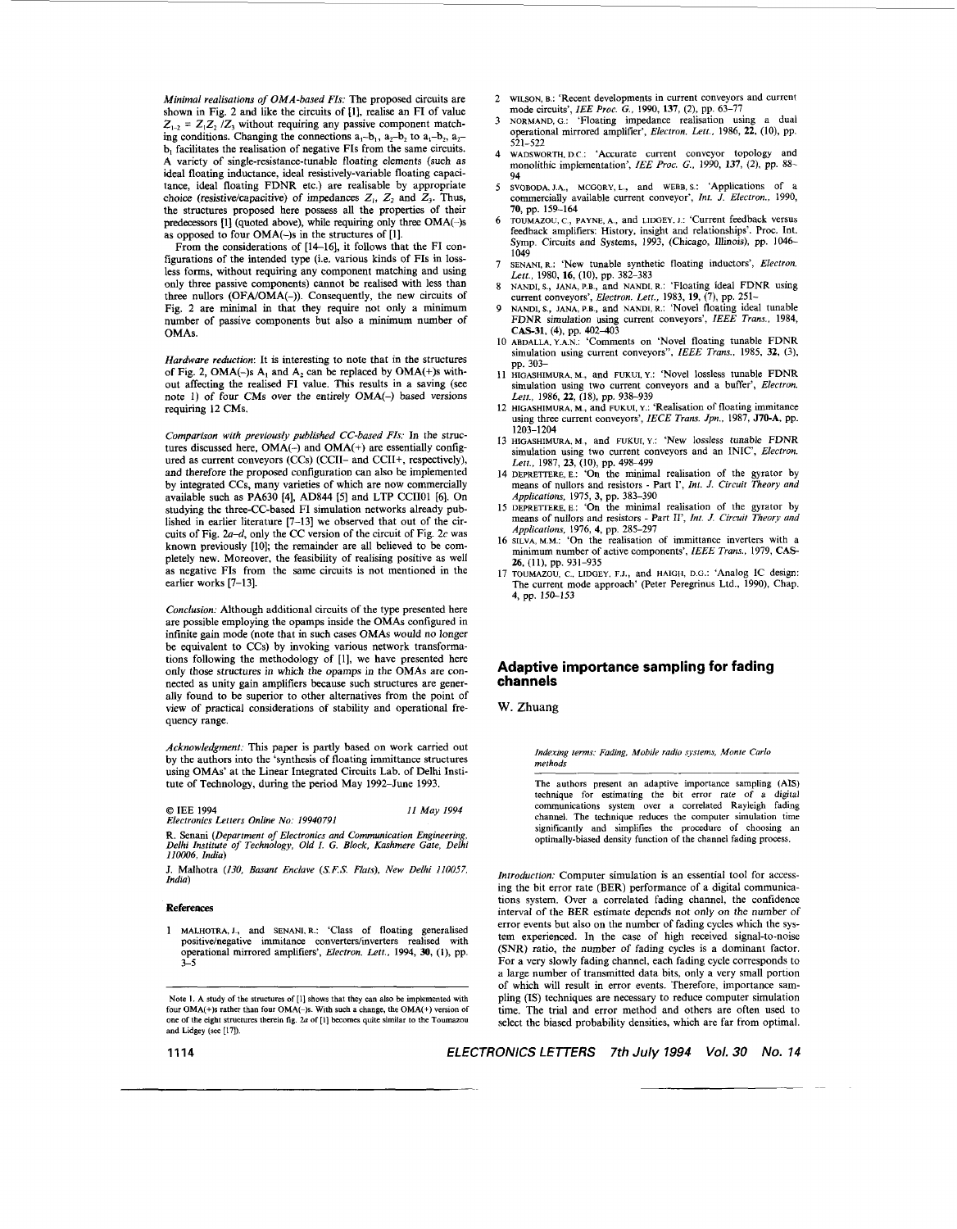*Minimal realisations of OMA-based FIs:* The proposed circuits are shown in Fig. 2 and like the circuits of [I], realise an FI of value  $Z_{1-2} = Z_1 Z_2 / Z_3$  without requiring any passive component matching conditions. Changing the connections  $a_1-b_1$ ,  $a_2-b_2$  to  $a_1-b_2$ ,  $a_2-a_1$ b, facilitates the realisation of negative FIs from the same circuits. **A** variety of single-resistance-tunable floating elements (such as ideal floating inductance, ideal resistively-variable floating capacitance, ideal floating FDNR etc.) are realisable by appropriate choice (resistive/capacitive) of impedances *Z,, Z,* and *Z,.* Thus, the structures proposed here possess all the properties of their predecessors [l] (quoted above), while requiring only three **OMA(-)s**  as opposed to four  $OMA(-)$ s in the structures of [1].

From the considerations of [14-16], it follows that the FI configurations of the intended type (i.e. various kinds of FIs in **loss**less forms, without requiring any component matching and using only three passive components) cannot be realised with less than three nullors (OFA/OMA(-)). Consequently, the new circuits of Fig. 2 are minimal in that they require not only a minimum number of passive components but also a minimum number of OMAs.

*Hardware reduction:* It is interesting to note that in the structures of Fig. 2,  $OMA(-)s$   $A_1$  and  $A_2$  can be replaced by  $OMA(+)s$  without affecting the realised FI value. This results in a saving (see note **1)** of four CMs over the entirely **OMA(-)** based versions requiring 12 CMs.

*Comparison with previously published CC-based FIs:* In the struc-<br>tures discussed here, OMA(-) and OMA(+) are essentially configured as current conveyors (CCs) (CCII- and CCII+, respectively), and therefore the proposed configuration can also be implemented by integrated CCs, many varieties of which are now commercially available such as PA630 [4], ADS44 [5] and LTP CCIIOl [6]. On studying the three-CC-based FI simulation networks already published in earlier literature [7-131 we observed that out of the circuits of Fig.  $2a-d$ , only the CC version of the circuit of Fig. 2c was known previously [lo]; the remainder are all believed to be completely new. Moreover, the feasibility of realising positive as well as negative FIs from the same circuits is not mentioned in the earlier works [7-131.

*Conclusion:* Although additional circuits of the type presented here are possible employing the opamps inside the OMAs configured in infinite gain mode (note that in such cases OMAs would no longer be equivalent to CCs) by invoking various network transformations following the methodology of [l], we have presented here only those structures in which the opamps in the OMAs are connected as unity gain amplifiers because such structures are generally found to be superior to other alternatives from the point of view of practical considerations of stability and operational frequency range.

*Acknowledgment:* This paper is partly based on work carried out by the authors into the 'synthesis of floating immittance structures using OMAs' at the Linear Integrated Circuits Lab. of Delhi Institute of Technology, during the period May 1992-June 1993.

*0 IEE* 1994 *Electronics Letters Online No:* 19940791 *I1 May* 1994

R. Senani *(Department of Electronics and Communication Engineering, Delhi Institute of Technology, Old I. G. Block, Kashmere Gate, Delhi lIwO6, India)* 

J. Malhotra (130, *Basant Enclave (S.F.S. Fiats), New Delhi* 110057, *India)* 

## **References**

1 MALHOTRA, J., and SENANI, R.: 'Class of floating generalised positive/negative immitance converters/inverters realised with operational mirrored amplifiers', *Electron, Lett.*, 1994, 30, (1), pp. 3-5

**Note 1. A** study of the structures **of** [I] shows that they **can** also **be** implemented with four **OMA(+)s** rather **than** four **OMA(-)s.** With such a change, the **OMA(+) version of**  one of the eight structures therein fig. 2a of [1] becomes quite similar to the Toumazou and Lidgey (see [17]).

- 2 **WILSON, B.:** 'Recent developments in current conveyors and current
- mode circuits', *IEE Proc. G.*, 1990, 137, (2), pp. 63-77<br>3 NORMAND, G.: 'Floating impedance realisation using a dual operational mirrored amplifier', *Electron. Lett.,* 1986, **22,** (IO), pp. 521-522
- 4 WADSWORTH, **D.c.:** 'Accurate current conveyor topology and monolithic implementation', *IEE Proc. G.,* 1990, **137,** (2), pp. 88-
- 94 5 **SVOBODA, LA., MCGORY, L.,** and **WEBB, S.:** 'Applications **Of** *a*  commercially available current conveyor', *Int. J. Electron.,* 1990, **70,** pp. 159-164
- 6 **TOLTMAZOU,** c., **PAYNE, A.,** and **LIDGEY, J.:** 'Current feedback versus feedback amplifiers: History, insight and relationships'. Proc. Int. Symp. Circuits and Systems, 1993, (Chicago, Illinois), pp. 1046-1049
- 7 **SENANI, R.:** 'New tunable synthetic floating inductors', *Electron. Lett.,* 1980, **16,** (lo), pp. 382-383
- 8 NANDI, S., JANA, P.B., and NANDI, R.: 'Floating ideal FDNR using<br>current conveyors', *Electron. Lett.*, 1983, 19, (7), pp. 251–<br>9 NANDI, S., JANA, P.B., and NANDI, R.: 'Novel floating ideal tunable
- FDNR simulation using current conveyors', *ZEEE Trans.,* 1984,
- *CAS-31,* (4). pp. 402403 **IO ABDALLA, Y.A.N.:** 'Comments on 'Novel floating tunable FDNR simulation using current conveyors", IEEE Trans., 1985, 32, (3), pp. 303-
- 11 **HIGASHIMURA, M.,** and **FUKUI, Y.:** 'Novel lossless tunable FDNR simulation using two current conveyors and a buffer', *Electron. Lett.,* 1986, *22,* (IS), pp. 938-939
- 12 **HIGASHIMURA, M.,** and **FUKUI,** Y.: 'Realisation of floating immitance using three current conveyors', *IECE Trans. Jpn.*, 1987, J70-A, pp. 1203-1204
- 13 **HIGASHIMURA, M.,** and **FUKUI,** Y.: 'New lossless tunable FDNR simulation using two current conveyors and an INIC', *Electron. Lett.,* 1987, **23,** *(IO),* pp. 498-499
- 14 **DEPRETTERE,E.:** 'On the minimal realisation of the gyrator by means of nullors and resistors - Part *I'*, *Int. J. Circuit Theory and Applications,* 1975, *3,* pp. 383-390
- 15 **DEPREITERE.E.: 'On** the minimal realisation **of** the gyrator by means of nullors and resistors - Part II', *Int. J. Circuit Theory und Applications, 1976, 4, pp. 285-297*<br>16 SILVA, M.M.: 'On the realisation of immittance inverters with a
- $minimum number of active components'$ , *IEEE Trans.*, 1979, CAS-*26,* (I]), pp. 931-935
- 17 **TOuMAZOU, C., LIDGEY. F.J.,** and **HAIGH. D.G.:** 'Analog 1C design: The current mode approach' (Peter Peregrinus Ltd., 1990), Chap. 4, pp. 150-153

## **Adaptive importance sampling for fading channels**

**W. Zhuang** 

*Indexing rerms: Fding, Mobile radio systems, Monte Carlo methods* 

The authors present an adaptive importance sampling **(AIS)**  technique **for** estimating the bit error rate **of** a digital communications system over a correlated Rayleigh fading channel. The technique reduces the computer simulation time significantly and Simplifies the procedure **of** choosing an optimally-biased density function of the channel fading process.

*Introduction:* Computer simulation is an essential tool for accessing the hit error rate (BER) performance of a digital communications system. Over a correlated fading channel, the confidence interval of the BER estimate depends not only on the number of error events but also on the number of fading cycles which the system experienced. In the case of high received signal-to-noise (SNR) ratio, the number of fading cycles is a dominant factor. For a very slowly fading channel, each fading cycle corresponds to a large number of transmitted data bits, only a very small portion of which will result in error events. Therefore, importance sampling **(IS)** techniques are necessary to reduce computer simulation time. The trial and error method and others are often used to select the biased probability densities, which are far from optimal.

**1114** *ELECTRONICS LETTERS 7th July 1994 Vol. 30 No. 14*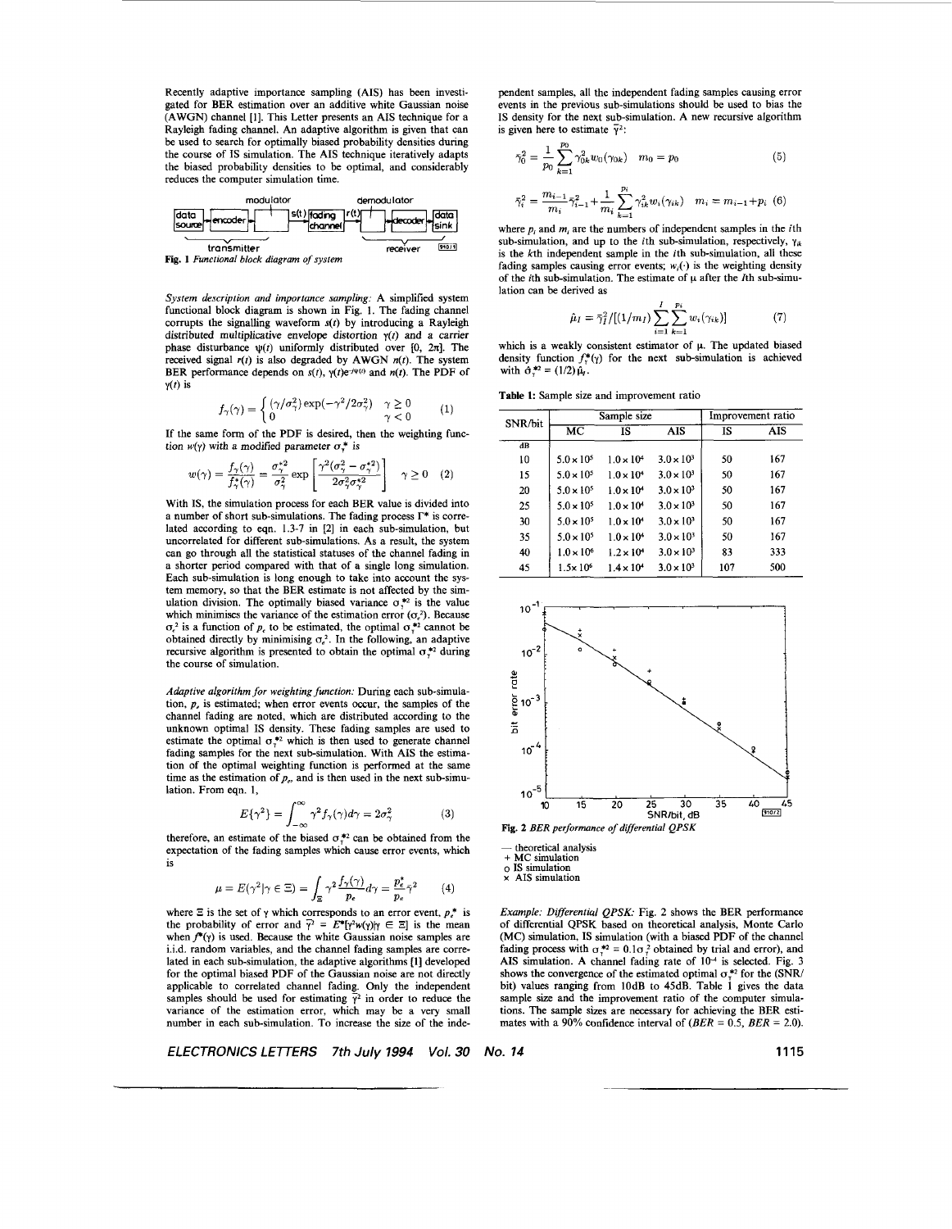Recently adaptive importance sampling (AIS) has been investigated for BER estimation over an additive white Gaussian noise (AWGN) channel [I]. This Letter presents an AIS technique for a Rayleigh fading channel. An adaptive algorithm is given that can be used to search for optimally biased probability densities during the course of IS simulation. The AIS technique iteratively adapts the biased probability densities to be optimal, and considerably reduces the computer simulation time.

|                                           | modulator                             |                  |       |
|-------------------------------------------|---------------------------------------|------------------|-------|
| data<br> source <br>∤encoder  −           | ls(t) fading<br>ichannel <sup>,</sup> | <b>Lidecoder</b> | ldata |
| transmitter                               |                                       | receiver         | 910/1 |
| Fig. 1 Functional block diagram of system |                                       |                  |       |

System description and importance sampling: A simplified system functional block diagram is shown in Fig. 1. The fading channel corrupts the signalling waveform  $s(t)$  by introducing a Rayleigh distributed multiplicative envelope distortion  $y(t)$  and a carrier phase disturbance  $\psi(t)$  uniformly distributed over *[0, 2x]*. The received signal  $r(t)$  is also degraded by AWGN  $n(t)$ . The system BER performance depends on  $s(t)$ ,  $\gamma(t)e^{-j\psi(t)}$  and  $n(t)$ . The PDF of  $y(t)$  is

$$
f_{\gamma}(\gamma) = \begin{cases} (\gamma/\sigma_{\gamma}^{2}) \exp(-\gamma^{2}/2\sigma_{\gamma}^{2}) & \gamma \ge 0 \\ 0 & \gamma < 0 \end{cases}
$$
 (1)

If the same form of the PDF is desired, then the weighting function  $w(y)$  with a modified parameter  $\sigma^*$  is

$$
w(\gamma) = \frac{f_{\gamma}(\gamma)}{f_{\gamma}^*(\gamma)} = \frac{\sigma_{\gamma}^{*2}}{\sigma_{\gamma}^2} \exp\left[\frac{\gamma^2(\sigma_{\gamma}^2 - \sigma_{\gamma}^{*2})}{2\sigma_{\gamma}^2 \sigma_{\gamma}^{*2}}\right] \quad \gamma \ge 0 \quad (2)
$$

With IS, the simulation process for each BER value is divided into a number of short sub-simulations. The fading process  $\Gamma^*$  is correlated according to eqn. 1.3-7 in [2] in each sub-simulation, but uncorrelated for different sub-simulations. As a result, the system can go through all the statistical statuses of the channel fading in a shorter period compared with that of a single long simulation. Each sub-simulation is long enough to take into account the system memory, so that the BER estimate is not affected by the simulation division. The optimally biased variance  $\sigma_*^{*2}$  is the value which minimises the variance of the estimation error  $(\sigma_e^2)$ . Because  $\sigma_e^2$  is a function of *p*, to be estimated, the optimal  $\sigma_v^*$  cannot be obtained directly by minimising  $\sigma_e^2$ . In the following, an adaptive recursive algorithm is presented to obtain the optimal  $\sigma_{y}^{*2}$  during the course of simulation.

Adaptive algorithm for weighting function: During each sub-simulation,  $p_e$  is estimated; when error events occur, the samples of the channel fading are noted, which are distributed according to the unknown optimal IS density. These fading samples are used to estimate the optimal  $\sigma_{\tau}^{*2}$  which is then used to generate channel fading samples for the next sub-simulation. With AIS the estimation of the optimal weighting function is performed at the same time as the estimation of  $p_e$ , and is then used in the next sub-simulation. From eqn. 1,

$$
E\{\gamma^2\} = \int_{-\infty}^{\infty} \gamma^2 f_{\gamma}(\gamma) d\gamma = 2\sigma_{\gamma}^2 \tag{3}
$$

therefore, an estimate of the biased  $\sigma_v^{*2}$  can be obtained from the expectation of the fading samples which cause error events, which is

$$
\mu = E(\gamma^2 | \gamma \in \Xi) = \int_{\Xi} \gamma^2 \frac{f_{\gamma}(\gamma)}{p_e} d\gamma = \frac{p_e^*}{p_e} \bar{\gamma}^2 \tag{4}
$$

where  $\Xi$  is the set of  $\gamma$  which corresponds to an error event,  $p^*$  is the probability of error and  $\bar{y}^2 = E^*[\gamma^2 w(\gamma)] \gamma \in \Xi$ ] is the mean when  $f^*(y)$  is used. Because the white Gaussian noise samples are  $\ddot{i}$ . i.i.d. random variables, and the channel fading samples are correlated in each sub-simulation, the adaptive algorithms [l] developed for the optimal biased PDF of the Gaussian noise are not directly applicable to correlated channel fading. Only the independent samples should be used for estimating  $\overline{y}^2$  in order to reduce the variance of the estimation error, which may be a very small number in each sub-simulation. To increase the size of the inde-

*ELECTRONICS LETTERS 7th July 1994 Vol. 30* 

pendent samples, all the independent fading samples causing error events in the previous sub-simulations should be used to bias the IS density for the next sub-simulation. A new recursive algorithm is given here to estimate  $\bar{v}^2$ :

$$
\bar{\gamma}_0^2 = \frac{1}{p_0} \sum_{k=1}^{p_0} \gamma_{0k}^2 w_0(\gamma_{0k}) \quad m_0 = p_0 \tag{5}
$$

$$
\bar{\gamma}_i^2 = \frac{m_{i-1}}{m_i} \bar{\gamma}_{i-1}^2 + \frac{1}{m_i} \sum_{k=1}^{p_i} \gamma_{ik}^2 w_i(\gamma_{ik}) \quad m_i = m_{i-1} + p_i \tag{6}
$$

where  $p_i$  and  $m_i$  are the numbers of independent samples in the *i*th sub-simulation, and up to the *i*th sub-simulation, respectively,  $\gamma_{ik}$ is the kth independent sample in the ith sub-simulation, all these fading samples causing error events;  $w_i(\cdot)$  is the weighting density of the *i*th sub-simulation. The estimate of  $\mu$  after the *I*th sub-simulation can be derived as

$$
\hat{\mu}_I = \bar{\gamma}_I^2 / [(1/m_I) \sum_{i=1}^I \sum_{k=1}^{p_i} w_i(\gamma_{ik})]
$$
(7)

which is a weakly consistent estimator of  $\mu$ . The updated biased density function  $f''_{y}(\gamma)$  for the next sub-simulation is achieved with  $\hat{\sigma}^{*2} = (1/2)\hat{\mu}_1$ .

Table **1:** Sample size and improvement ratio

| SNR/bit  | Sample size            |                     |                     | Improvement ratio |     |
|----------|------------------------|---------------------|---------------------|-------------------|-----|
|          | $\overline{\text{MC}}$ | IS.                 | AIS                 | IS                | AIS |
| $\bf dB$ |                        |                     |                     |                   |     |
| 10       | $5.0 \times 10^{5}$    | $1.0 \times 10^{4}$ | $3.0 \times 10^{3}$ | 50                | 167 |
| 15       | $5.0 \times 10^{5}$    | $1.0 \times 10^{4}$ | $3.0 \times 10^{3}$ | 50                | 167 |
| 20       | $5.0 \times 10^{5}$    | $1.0 \times 10^{4}$ | $3.0 \times 10^{3}$ | 50                | 167 |
| 25       | $5.0 \times 10^{5}$    | $1.0 \times 10^{4}$ | $3.0 \times 10^3$   | 50                | 167 |
| 30       | $5.0 \times 10^{5}$    | $1.0 \times 10^{4}$ | $3.0 \times 10^3$   | 50                | 167 |
| 35       | $5.0 \times 10^{5}$    | $1.0 \times 10^{4}$ | $3.0 \times 10^{3}$ | 50                | 167 |
| 40       | $1.0 \times 10^{6}$    | $1.2 \times 10^{4}$ | $3.0 \times 10^{3}$ | 83                | 333 |
| 45       | $1.5 \times 10^{6}$    | $1.4 \times 10^{4}$ | $3.0 \times 10^3$   | 107               | 500 |



 $\circ$  **IS** simulation  $\times$  AIS simulation

Example: Differential *QPSK:* Fig. 2 shows the BER performance of differential QPSK based on theoretical analysis, Monte Carlo (MC) simulation, IS simulation (with a biased PDF of the channel fading process with  $\sigma_r^{*2} = 0.1\sigma_r^2$  obtained by trial and error), and AIS simulation. A channel fading rate of  $10^{-4}$  is selected. Fig. 3 shows the convergence of the estimated optimal  $\sigma_{\gamma}^{*2}$  for the (SNR/ bit) values ranging from lOdB to 45dB. Table 1 gives the data sample size and the improvement ratio of the computer simulations. The sample sizes are necessary for achieving the BER estimates with a 90% confidence interval of  $(BER = 0.5, BER = 2.0)$ .

*No. 14* **1115**